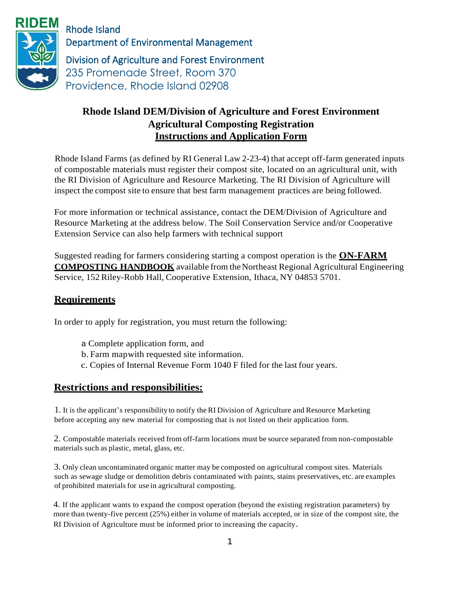

Rhode Island Department of Environmental Management Division of Agriculture and Forest Environment

235 Promenade Street, Room 370 Providence, Rhode Island 02908

# **Rhode Island DEM/Division of Agriculture and Forest Environment Agricultural Composting Registration Instructions and Application Form**

Rhode Island Farms (as defined by RI General Law 2-23-4) that accept off-farm generated inputs of compostable materials must register their compost site, located on an agricultural unit, with the RI Division of Agriculture and Resource Marketing. The RI Division of Agriculture will inspect the compost site to ensure that best farm management practices are being followed.

For more information or technical assistance, contact the DEM/Division of Agriculture and Resource Marketing at the address below. The Soil Conservation Service and/or Cooperative Extension Service can also help farmers with technical support

Suggested reading for farmers considering starting a compost operation is the **ON-FARM COMPOSTING HANDBOOK** available from the Northeast Regional Agricultural Engineering Service, 152 Riley-Robb Hall, Cooperative Extension, Ithaca, NY 04853 5701.

## **Requirements**

In order to apply for registration, you must return the following:

- a Complete application form, and
- b. Farm mapwith requested site information.
- c. Copies of Internal Revenue Form 1040 F filed for the last four years.

### **Restrictions and responsibilities:**

1. It is the applicant's responsibility to notify the RI Division of Agriculture and Resource Marketing before accepting any new material for composting that is not listed on their application form.

2. Compostable materials received from off-farm locations must be source separated from non-compostable materials such as plastic, metal, glass, etc.

3. Only clean uncontaminated organic matter may be composted on agricultural compost sites. Materials such as sewage sludge or demolition debris contaminated with paints, stains preservatives, etc. are examples of prohibited materials for use in agricultural composting.

4. If the applicant wants to expand the compost operation (beyond the existing registration parameters) by more than twenty-five percent (25%) either in volume of materials accepted, or in size of the compost site, the RI Division of Agriculture must be informed prior to increasing the capacity.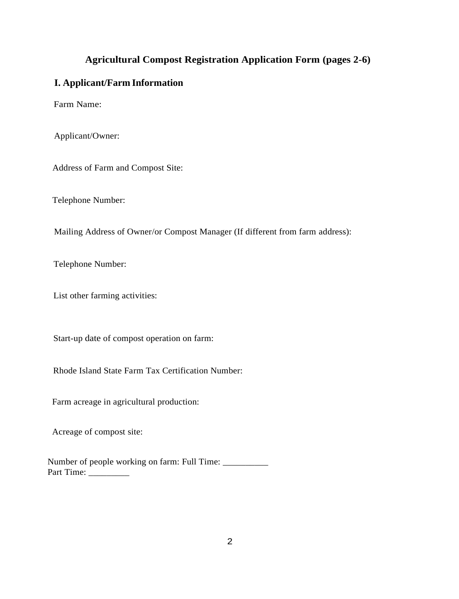## **Agricultural Compost Registration Application Form (pages 2-6)**

#### **I. Applicant/Farm Information**

Farm Name:

Applicant/Owner:

Address of Farm and Compost Site:

Telephone Number:

Mailing Address of Owner/or Compost Manager (If different from farm address):

Telephone Number:

List other farming activities:

Start-up date of compost operation on farm:

Rhode Island State Farm Tax Certification Number:

Farm acreage in agricultural production:

Acreage of compost site:

Number of people working on farm: Full Time: \_\_\_\_\_\_\_\_\_\_ Part Time: \_\_\_\_\_\_\_\_\_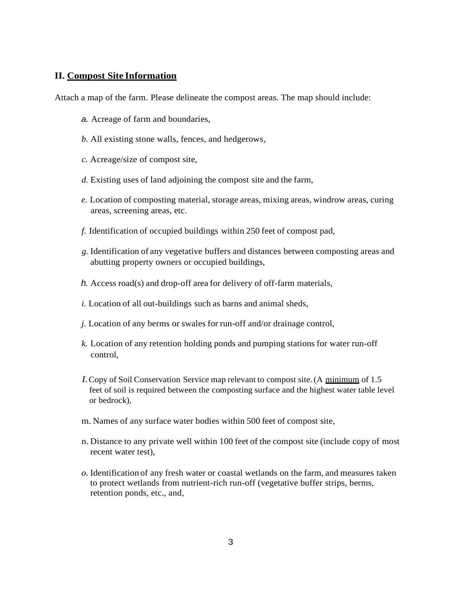#### **II. Compost Site Information**

Attach a map of the farm. Please delineate the compost areas. The map should include:

- *a.* Acreage of farm and boundaries,
- *b.* All existing stone walls, fences, and hedgerows,
- *c.* Acreage/size of compost site,
- *d.* Existing uses of land adjoining the compost site and the farm,
- *e.* Location of composting material, storage areas, mixing areas, windrow areas, curing areas, screening areas, etc.
- *f.* Identification of occupied buildings within 250 feet of compost pad,
- *g.* Identification of any vegetative buffers and distances between composting areas and abutting property owners or occupied buildings,
- *h.* Access road(s) and drop-off area for delivery of off-farm materials,
- *i.* Location of all out-buildings such as barns and animal sheds,
- *j.* Location of any berms or swales for run-off and/or drainage control,
- *k.* Location of any retention holding ponds and pumping stations for water run-off control,
- *I.* Copy of Soil Conservation Service map relevant to compost site. (A minimum of 1.5 feet of soil is required between the composting surface and the highest water table level or bedrock),
- m. Names of any surface water bodies within 500 feet of compost site,
- n. Distance to any private well within 100 feet of the compost site (include copy of most recent water test),
- *o.* Identification of any fresh water or coastal wetlands on the farm, and measures taken to protect wetlands from nutrient-rich run-off (vegetative buffer strips*,* berms, retention ponds, etc., and,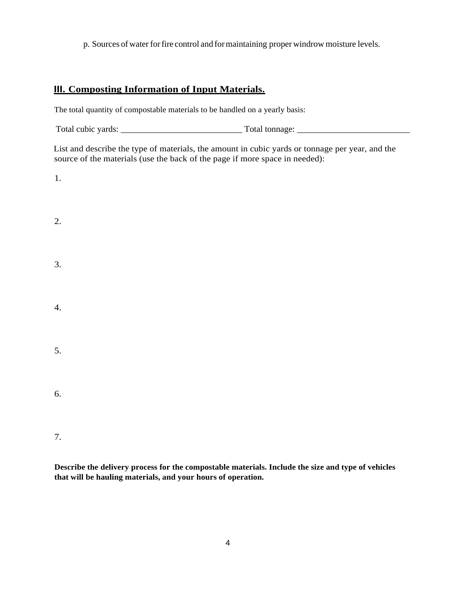p. Sources of water forfire control and formaintaining proper windrow moisture levels.

### **III. Composting Information of Input Materials.**

The total quantity of compostable materials to be handled on a yearly basis:

Total cubic yards: \_\_\_\_\_\_\_\_\_\_\_\_\_\_\_\_\_\_\_\_\_\_\_\_\_\_\_\_ Total tonnage: \_\_\_\_\_\_\_\_\_\_\_\_\_\_\_\_\_\_\_\_\_\_\_\_\_\_

List and describe the type of materials, the amount in cubic yards or tonnage per year, and the source of the materials (use the back of the page if more space in needed):

1.

| 2. |  |  |  |
|----|--|--|--|
| 3. |  |  |  |
| 4. |  |  |  |
| 5. |  |  |  |
| 6. |  |  |  |
|    |  |  |  |

7.

**Describe the delivery process for the compostable materials. Include the size and type of vehicles that will be hauling materials, and your hours of operation.**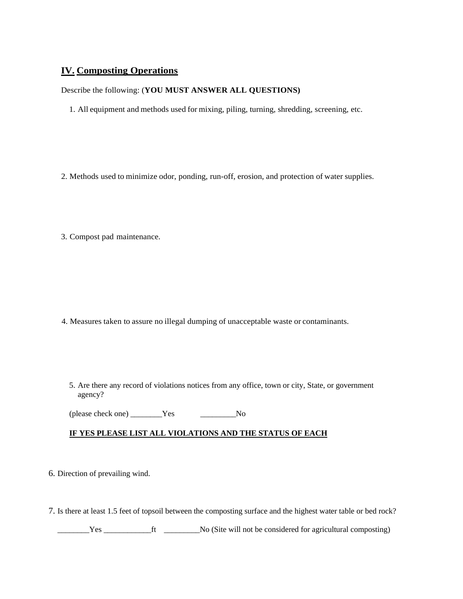### **IV. Composting Operations**

#### Describe the following: (**YOU MUST ANSWER ALL QUESTIONS)**

- 1. All equipment and methods used for mixing, piling, turning, shredding, screening, etc.
- 2. Methods used to minimize odor, ponding, run-off, erosion, and protection of water supplies.
- 3. Compost pad maintenance.

- 4. Measures taken to assure no illegal dumping of unacceptable waste or contaminants.
	- 5. Are there any record of violations notices from any office, town or city, State, or government agency?

(please check one) \_\_\_\_\_\_\_\_Yes \_\_\_\_\_\_\_\_\_No

#### **IF YES PLEASE LIST ALL VIOLATIONS AND THE STATUS OF EACH**

- 6. Direction of prevailing wind.
- 7. Is there at least 1.5 feet of topsoil between the composting surface and the highest water table or bed rock?

\_\_\_\_\_\_\_\_Yes \_\_\_\_\_\_\_\_\_\_\_\_ft \_\_\_\_\_\_\_\_\_No (Site will not be considered for agricultural composting)